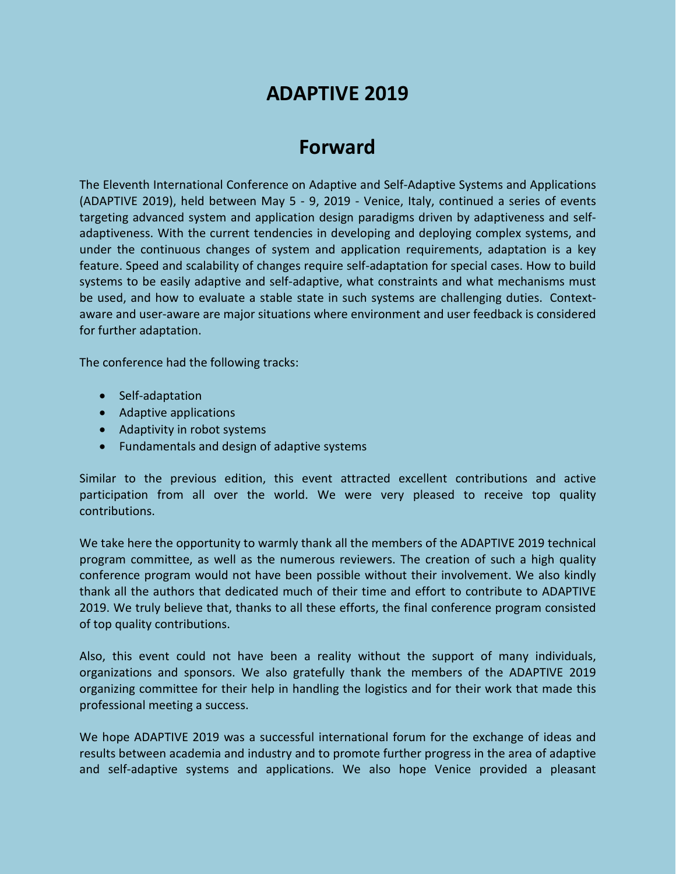# **ADAPTIVE 2019**

# **Forward**

The Eleventh International Conference on Adaptive and Self-Adaptive Systems and Applications (ADAPTIVE 2019), held between May 5 - 9, 2019 - Venice, Italy, continued a series of events targeting advanced system and application design paradigms driven by adaptiveness and selfadaptiveness. With the current tendencies in developing and deploying complex systems, and under the continuous changes of system and application requirements, adaptation is a key feature. Speed and scalability of changes require self-adaptation for special cases. How to build systems to be easily adaptive and self-adaptive, what constraints and what mechanisms must be used, and how to evaluate a stable state in such systems are challenging duties. Contextaware and user-aware are major situations where environment and user feedback is considered for further adaptation.

The conference had the following tracks:

- Self-adaptation
- Adaptive applications
- Adaptivity in robot systems
- Fundamentals and design of adaptive systems

Similar to the previous edition, this event attracted excellent contributions and active participation from all over the world. We were very pleased to receive top quality contributions.

We take here the opportunity to warmly thank all the members of the ADAPTIVE 2019 technical program committee, as well as the numerous reviewers. The creation of such a high quality conference program would not have been possible without their involvement. We also kindly thank all the authors that dedicated much of their time and effort to contribute to ADAPTIVE 2019. We truly believe that, thanks to all these efforts, the final conference program consisted of top quality contributions.

Also, this event could not have been a reality without the support of many individuals, organizations and sponsors. We also gratefully thank the members of the ADAPTIVE 2019 organizing committee for their help in handling the logistics and for their work that made this professional meeting a success.

We hope ADAPTIVE 2019 was a successful international forum for the exchange of ideas and results between academia and industry and to promote further progress in the area of adaptive and self-adaptive systems and applications. We also hope Venice provided a pleasant